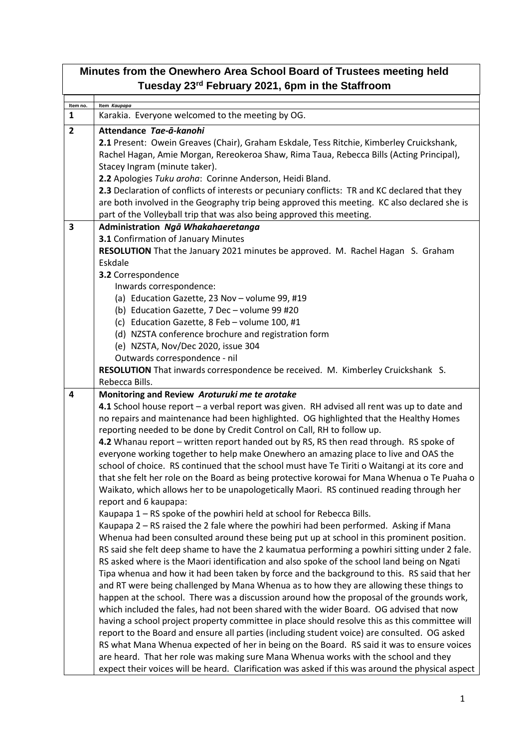| Minutes from the Onewhero Area School Board of Trustees meeting held<br>Tuesday 23rd February 2021, 6pm in the Staffroom |                                                                                                                                                                                                                                                                                                                                                                                                                                                                                                                                                                                                                                                                                                                                                                                                                                                                                                                                                                                                                                                                                                                                                                                                                                                                                                                                                                                                                                                                                                                                                                                                                                                                                                                                                                                                                                                                                                                                                                                                                                                                                                                                                                        |  |  |  |
|--------------------------------------------------------------------------------------------------------------------------|------------------------------------------------------------------------------------------------------------------------------------------------------------------------------------------------------------------------------------------------------------------------------------------------------------------------------------------------------------------------------------------------------------------------------------------------------------------------------------------------------------------------------------------------------------------------------------------------------------------------------------------------------------------------------------------------------------------------------------------------------------------------------------------------------------------------------------------------------------------------------------------------------------------------------------------------------------------------------------------------------------------------------------------------------------------------------------------------------------------------------------------------------------------------------------------------------------------------------------------------------------------------------------------------------------------------------------------------------------------------------------------------------------------------------------------------------------------------------------------------------------------------------------------------------------------------------------------------------------------------------------------------------------------------------------------------------------------------------------------------------------------------------------------------------------------------------------------------------------------------------------------------------------------------------------------------------------------------------------------------------------------------------------------------------------------------------------------------------------------------------------------------------------------------|--|--|--|
|                                                                                                                          |                                                                                                                                                                                                                                                                                                                                                                                                                                                                                                                                                                                                                                                                                                                                                                                                                                                                                                                                                                                                                                                                                                                                                                                                                                                                                                                                                                                                                                                                                                                                                                                                                                                                                                                                                                                                                                                                                                                                                                                                                                                                                                                                                                        |  |  |  |
| Item no.<br>1                                                                                                            | Item Kaupapa<br>Karakia. Everyone welcomed to the meeting by OG.                                                                                                                                                                                                                                                                                                                                                                                                                                                                                                                                                                                                                                                                                                                                                                                                                                                                                                                                                                                                                                                                                                                                                                                                                                                                                                                                                                                                                                                                                                                                                                                                                                                                                                                                                                                                                                                                                                                                                                                                                                                                                                       |  |  |  |
| $\overline{2}$                                                                                                           | Attendance Tae-ā-kanohi<br>2.1 Present: Owein Greaves (Chair), Graham Eskdale, Tess Ritchie, Kimberley Cruickshank,<br>Rachel Hagan, Amie Morgan, Rereokeroa Shaw, Rima Taua, Rebecca Bills (Acting Principal),<br>Stacey Ingram (minute taker).<br>2.2 Apologies Tuku aroha: Corinne Anderson, Heidi Bland.<br>2.3 Declaration of conflicts of interests or pecuniary conflicts: TR and KC declared that they<br>are both involved in the Geography trip being approved this meeting. KC also declared she is<br>part of the Volleyball trip that was also being approved this meeting.                                                                                                                                                                                                                                                                                                                                                                                                                                                                                                                                                                                                                                                                                                                                                                                                                                                                                                                                                                                                                                                                                                                                                                                                                                                                                                                                                                                                                                                                                                                                                                               |  |  |  |
| 3                                                                                                                        | Administration Ngā Whakahaeretanga                                                                                                                                                                                                                                                                                                                                                                                                                                                                                                                                                                                                                                                                                                                                                                                                                                                                                                                                                                                                                                                                                                                                                                                                                                                                                                                                                                                                                                                                                                                                                                                                                                                                                                                                                                                                                                                                                                                                                                                                                                                                                                                                     |  |  |  |
|                                                                                                                          | 3.1 Confirmation of January Minutes<br>RESOLUTION That the January 2021 minutes be approved. M. Rachel Hagan S. Graham<br>Eskdale<br>3.2 Correspondence<br>Inwards correspondence:<br>(a) Education Gazette, 23 Nov - volume 99, #19<br>(b) Education Gazette, 7 Dec - volume 99 #20<br>(c) Education Gazette, 8 Feb - volume 100, #1<br>(d) NZSTA conference brochure and registration form                                                                                                                                                                                                                                                                                                                                                                                                                                                                                                                                                                                                                                                                                                                                                                                                                                                                                                                                                                                                                                                                                                                                                                                                                                                                                                                                                                                                                                                                                                                                                                                                                                                                                                                                                                           |  |  |  |
|                                                                                                                          | (e) NZSTA, Nov/Dec 2020, issue 304<br>Outwards correspondence - nil<br>RESOLUTION That inwards correspondence be received. M. Kimberley Cruickshank S.<br>Rebecca Bills.                                                                                                                                                                                                                                                                                                                                                                                                                                                                                                                                                                                                                                                                                                                                                                                                                                                                                                                                                                                                                                                                                                                                                                                                                                                                                                                                                                                                                                                                                                                                                                                                                                                                                                                                                                                                                                                                                                                                                                                               |  |  |  |
| 4                                                                                                                        | Monitoring and Review Aroturuki me te arotake<br>4.1 School house report - a verbal report was given. RH advised all rent was up to date and<br>no repairs and maintenance had been highlighted. OG highlighted that the Healthy Homes<br>reporting needed to be done by Credit Control on Call, RH to follow up.<br>4.2 Whanau report - written report handed out by RS, RS then read through. RS spoke of<br>everyone working together to help make Onewhero an amazing place to live and OAS the<br>school of choice. RS continued that the school must have Te Tiriti o Waitangi at its core and<br>that she felt her role on the Board as being protective korowai for Mana Whenua o Te Puaha o<br>Waikato, which allows her to be unapologetically Maori. RS continued reading through her<br>report and 6 kaupapa:<br>Kaupapa 1 - RS spoke of the powhiri held at school for Rebecca Bills.<br>Kaupapa 2 - RS raised the 2 fale where the powhiri had been performed. Asking if Mana<br>Whenua had been consulted around these being put up at school in this prominent position.<br>RS said she felt deep shame to have the 2 kaumatua performing a powhiri sitting under 2 fale.<br>RS asked where is the Maori identification and also spoke of the school land being on Ngati<br>Tipa whenua and how it had been taken by force and the background to this. RS said that her<br>and RT were being challenged by Mana Whenua as to how they are allowing these things to<br>happen at the school. There was a discussion around how the proposal of the grounds work,<br>which included the fales, had not been shared with the wider Board. OG advised that now<br>having a school project property committee in place should resolve this as this committee will<br>report to the Board and ensure all parties (including student voice) are consulted. OG asked<br>RS what Mana Whenua expected of her in being on the Board. RS said it was to ensure voices<br>are heard. That her role was making sure Mana Whenua works with the school and they<br>expect their voices will be heard. Clarification was asked if this was around the physical aspect |  |  |  |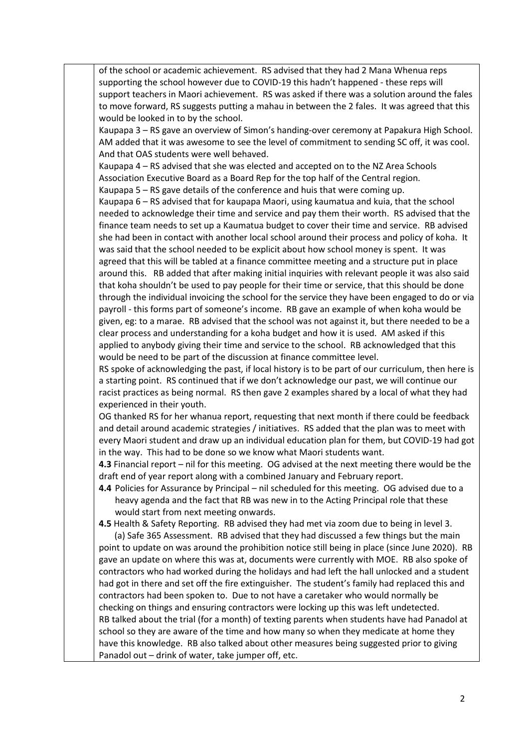of the school or academic achievement. RS advised that they had 2 Mana Whenua reps supporting the school however due to COVID-19 this hadn't happened - these reps will support teachers in Maori achievement. RS was asked if there was a solution around the fales to move forward, RS suggests putting a mahau in between the 2 fales. It was agreed that this would be looked in to by the school.

Kaupapa 3 – RS gave an overview of Simon's handing-over ceremony at Papakura High School. AM added that it was awesome to see the level of commitment to sending SC off, it was cool. And that OAS students were well behaved.

Kaupapa 4 – RS advised that she was elected and accepted on to the NZ Area Schools Association Executive Board as a Board Rep for the top half of the Central region.

Kaupapa 5 – RS gave details of the conference and huis that were coming up.

Kaupapa 6 – RS advised that for kaupapa Maori, using kaumatua and kuia, that the school needed to acknowledge their time and service and pay them their worth. RS advised that the finance team needs to set up a Kaumatua budget to cover their time and service. RB advised she had been in contact with another local school around their process and policy of koha. It was said that the school needed to be explicit about how school money is spent. It was agreed that this will be tabled at a finance committee meeting and a structure put in place around this. RB added that after making initial inquiries with relevant people it was also said that koha shouldn't be used to pay people for their time or service, that this should be done through the individual invoicing the school for the service they have been engaged to do or via payroll - this forms part of someone's income. RB gave an example of when koha would be given, eg: to a marae. RB advised that the school was not against it, but there needed to be a clear process and understanding for a koha budget and how it is used. AM asked if this applied to anybody giving their time and service to the school. RB acknowledged that this would be need to be part of the discussion at finance committee level.

RS spoke of acknowledging the past, if local history is to be part of our curriculum, then here is a starting point. RS continued that if we don't acknowledge our past, we will continue our racist practices as being normal. RS then gave 2 examples shared by a local of what they had experienced in their youth.

OG thanked RS for her whanua report, requesting that next month if there could be feedback and detail around academic strategies / initiatives. RS added that the plan was to meet with every Maori student and draw up an individual education plan for them, but COVID-19 had got in the way. This had to be done so we know what Maori students want.

**4.3** Financial report – nil for this meeting. OG advised at the next meeting there would be the draft end of year report along with a combined January and February report.

**4.4** Policies for Assurance by Principal – nil scheduled for this meeting. OG advised due to a heavy agenda and the fact that RB was new in to the Acting Principal role that these would start from next meeting onwards.

**4.5** Health & Safety Reporting. RB advised they had met via zoom due to being in level 3.

 (a) Safe 365 Assessment. RB advised that they had discussed a few things but the main point to update on was around the prohibition notice still being in place (since June 2020). RB gave an update on where this was at, documents were currently with MOE. RB also spoke of contractors who had worked during the holidays and had left the hall unlocked and a student had got in there and set off the fire extinguisher. The student's family had replaced this and contractors had been spoken to. Due to not have a caretaker who would normally be checking on things and ensuring contractors were locking up this was left undetected. RB talked about the trial (for a month) of texting parents when students have had Panadol at school so they are aware of the time and how many so when they medicate at home they have this knowledge. RB also talked about other measures being suggested prior to giving Panadol out – drink of water, take jumper off, etc.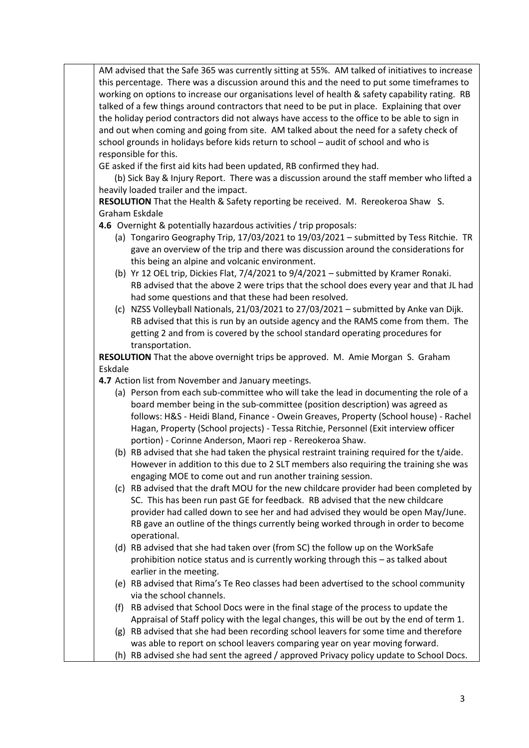AM advised that the Safe 365 was currently sitting at 55%. AM talked of initiatives to increase this percentage. There was a discussion around this and the need to put some timeframes to working on options to increase our organisations level of health & safety capability rating. RB talked of a few things around contractors that need to be put in place. Explaining that over the holiday period contractors did not always have access to the office to be able to sign in and out when coming and going from site. AM talked about the need for a safety check of school grounds in holidays before kids return to school – audit of school and who is responsible for this.

GE asked if the first aid kits had been updated, RB confirmed they had.

 (b) Sick Bay & Injury Report. There was a discussion around the staff member who lifted a heavily loaded trailer and the impact.

**RESOLUTION** That the Health & Safety reporting be received. M. Rereokeroa Shaw S. Graham Eskdale

**4.6** Overnight & potentially hazardous activities / trip proposals:

- (a) Tongariro Geography Trip, 17/03/2021 to 19/03/2021 submitted by Tess Ritchie. TR gave an overview of the trip and there was discussion around the considerations for this being an alpine and volcanic environment.
- (b) Yr 12 OEL trip, Dickies Flat, 7/4/2021 to 9/4/2021 submitted by Kramer Ronaki. RB advised that the above 2 were trips that the school does every year and that JL had had some questions and that these had been resolved.
- (c) NZSS Volleyball Nationals, 21/03/2021 to 27/03/2021 submitted by Anke van Dijk. RB advised that this is run by an outside agency and the RAMS come from them. The getting 2 and from is covered by the school standard operating procedures for transportation.

**RESOLUTION** That the above overnight trips be approved. M. Amie Morgan S. Graham Eskdale

**4.7** Action list from November and January meetings.

|  | <b>4.7</b> ACUOII IISL ITUITI NUVEITIDEI JULIU JULIUU VIITEELIITES.                        |
|--|--------------------------------------------------------------------------------------------|
|  | (a) Person from each sub-committee who will take the lead in documenting the role of a     |
|  | board member being in the sub-committee (position description) was agreed as               |
|  | follows: H&S - Heidi Bland, Finance - Owein Greaves, Property (School house) - Rachel      |
|  | Hagan, Property (School projects) - Tessa Ritchie, Personnel (Exit interview officer       |
|  | portion) - Corinne Anderson, Maori rep - Rereokeroa Shaw.                                  |
|  | (b) RB advised that she had taken the physical restraint training required for the t/aide. |
|  |                                                                                            |

However in addition to this due to 2 SLT members also requiring the training she was engaging MOE to come out and run another training session.

(c) RB advised that the draft MOU for the new childcare provider had been completed by SC. This has been run past GE for feedback. RB advised that the new childcare provider had called down to see her and had advised they would be open May/June. RB gave an outline of the things currently being worked through in order to become operational.

- (d) RB advised that she had taken over (from SC) the follow up on the WorkSafe prohibition notice status and is currently working through this – as talked about earlier in the meeting.
- (e) RB advised that Rima's Te Reo classes had been advertised to the school community via the school channels.
- (f) RB advised that School Docs were in the final stage of the process to update the Appraisal of Staff policy with the legal changes, this will be out by the end of term 1.
- (g) RB advised that she had been recording school leavers for some time and therefore was able to report on school leavers comparing year on year moving forward.
- (h) RB advised she had sent the agreed / approved Privacy policy update to School Docs.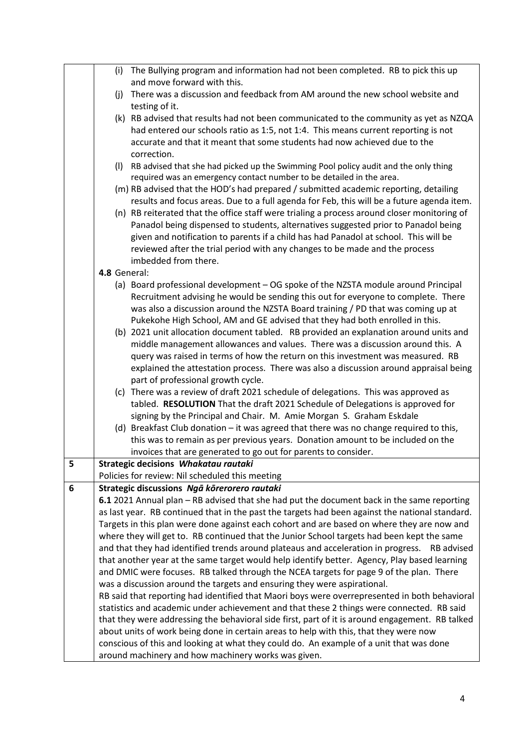|   |              | (i) The Bullying program and information had not been completed. RB to pick this up                                                            |
|---|--------------|------------------------------------------------------------------------------------------------------------------------------------------------|
|   |              | and move forward with this.                                                                                                                    |
|   | (i)          | There was a discussion and feedback from AM around the new school website and                                                                  |
|   |              | testing of it.                                                                                                                                 |
|   |              | (k) RB advised that results had not been communicated to the community as yet as NZQA                                                          |
|   |              | had entered our schools ratio as 1:5, not 1:4. This means current reporting is not                                                             |
|   |              | accurate and that it meant that some students had now achieved due to the                                                                      |
|   |              | correction.                                                                                                                                    |
|   |              | (I) RB advised that she had picked up the Swimming Pool policy audit and the only thing                                                        |
|   |              | required was an emergency contact number to be detailed in the area.                                                                           |
|   |              | (m) RB advised that the HOD's had prepared / submitted academic reporting, detailing                                                           |
|   |              | results and focus areas. Due to a full agenda for Feb, this will be a future agenda item.                                                      |
|   |              | (n) RB reiterated that the office staff were trialing a process around closer monitoring of                                                    |
|   |              | Panadol being dispensed to students, alternatives suggested prior to Panadol being                                                             |
|   |              | given and notification to parents if a child has had Panadol at school. This will be                                                           |
|   |              | reviewed after the trial period with any changes to be made and the process<br>imbedded from there.                                            |
|   | 4.8 General: |                                                                                                                                                |
|   |              | (a) Board professional development - OG spoke of the NZSTA module around Principal                                                             |
|   |              | Recruitment advising he would be sending this out for everyone to complete. There                                                              |
|   |              | was also a discussion around the NZSTA Board training / PD that was coming up at                                                               |
|   |              | Pukekohe High School, AM and GE advised that they had both enrolled in this.                                                                   |
|   |              | (b) 2021 unit allocation document tabled. RB provided an explanation around units and                                                          |
|   |              | middle management allowances and values. There was a discussion around this. A                                                                 |
|   |              | query was raised in terms of how the return on this investment was measured. RB                                                                |
|   |              | explained the attestation process. There was also a discussion around appraisal being                                                          |
|   |              | part of professional growth cycle.                                                                                                             |
|   |              | (c) There was a review of draft 2021 schedule of delegations. This was approved as                                                             |
|   |              | tabled. RESOLUTION That the draft 2021 Schedule of Delegations is approved for                                                                 |
|   |              | signing by the Principal and Chair. M. Amie Morgan S. Graham Eskdale                                                                           |
|   |              | (d) Breakfast Club donation - it was agreed that there was no change required to this,                                                         |
|   |              | this was to remain as per previous years. Donation amount to be included on the                                                                |
|   |              | invoices that are generated to go out for parents to consider.                                                                                 |
| 5 |              | Strategic decisions Whakatau rautaki                                                                                                           |
|   |              | Policies for review: Nil scheduled this meeting                                                                                                |
| 6 |              | Strategic discussions Ngā kōrerorero rautaki                                                                                                   |
|   |              | 6.1 2021 Annual plan - RB advised that she had put the document back in the same reporting                                                     |
|   |              | as last year. RB continued that in the past the targets had been against the national standard.                                                |
|   |              | Targets in this plan were done against each cohort and are based on where they are now and                                                     |
|   |              | where they will get to. RB continued that the Junior School targets had been kept the same                                                     |
|   |              | and that they had identified trends around plateaus and acceleration in progress.<br>RB advised                                                |
|   |              | that another year at the same target would help identify better. Agency, Play based learning                                                   |
|   |              | and DMIC were focuses. RB talked through the NCEA targets for page 9 of the plan. There                                                        |
|   |              | was a discussion around the targets and ensuring they were aspirational.                                                                       |
|   |              | RB said that reporting had identified that Maori boys were overrepresented in both behavioral                                                  |
|   |              | statistics and academic under achievement and that these 2 things were connected. RB said                                                      |
|   |              | that they were addressing the behavioral side first, part of it is around engagement. RB talked                                                |
|   |              | about units of work being done in certain areas to help with this, that they were now                                                          |
|   |              | conscious of this and looking at what they could do. An example of a unit that was done<br>around machinery and how machinery works was given. |
|   |              |                                                                                                                                                |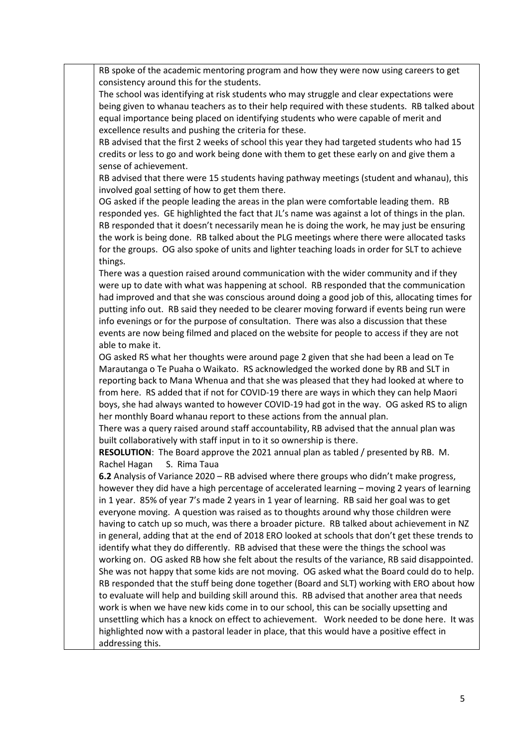RB spoke of the academic mentoring program and how they were now using careers to get consistency around this for the students.

The school was identifying at risk students who may struggle and clear expectations were being given to whanau teachers as to their help required with these students. RB talked about equal importance being placed on identifying students who were capable of merit and excellence results and pushing the criteria for these.

RB advised that the first 2 weeks of school this year they had targeted students who had 15 credits or less to go and work being done with them to get these early on and give them a sense of achievement.

RB advised that there were 15 students having pathway meetings (student and whanau), this involved goal setting of how to get them there.

OG asked if the people leading the areas in the plan were comfortable leading them. RB responded yes. GE highlighted the fact that JL's name was against a lot of things in the plan. RB responded that it doesn't necessarily mean he is doing the work, he may just be ensuring the work is being done. RB talked about the PLG meetings where there were allocated tasks for the groups. OG also spoke of units and lighter teaching loads in order for SLT to achieve things.

There was a question raised around communication with the wider community and if they were up to date with what was happening at school. RB responded that the communication had improved and that she was conscious around doing a good job of this, allocating times for putting info out. RB said they needed to be clearer moving forward if events being run were info evenings or for the purpose of consultation. There was also a discussion that these events are now being filmed and placed on the website for people to access if they are not able to make it.

OG asked RS what her thoughts were around page 2 given that she had been a lead on Te Marautanga o Te Puaha o Waikato. RS acknowledged the worked done by RB and SLT in reporting back to Mana Whenua and that she was pleased that they had looked at where to from here. RS added that if not for COVID-19 there are ways in which they can help Maori boys, she had always wanted to however COVID-19 had got in the way. OG asked RS to align her monthly Board whanau report to these actions from the annual plan.

There was a query raised around staff accountability, RB advised that the annual plan was built collaboratively with staff input in to it so ownership is there.

**RESOLUTION**: The Board approve the 2021 annual plan as tabled / presented by RB. M. Rachel Hagan S. Rima Taua

**6.2** Analysis of Variance 2020 – RB advised where there groups who didn't make progress, however they did have a high percentage of accelerated learning – moving 2 years of learning in 1 year. 85% of year 7's made 2 years in 1 year of learning. RB said her goal was to get everyone moving. A question was raised as to thoughts around why those children were having to catch up so much, was there a broader picture. RB talked about achievement in NZ in general, adding that at the end of 2018 ERO looked at schools that don't get these trends to identify what they do differently. RB advised that these were the things the school was working on. OG asked RB how she felt about the results of the variance, RB said disappointed. She was not happy that some kids are not moving. OG asked what the Board could do to help. RB responded that the stuff being done together (Board and SLT) working with ERO about how to evaluate will help and building skill around this. RB advised that another area that needs work is when we have new kids come in to our school, this can be socially upsetting and unsettling which has a knock on effect to achievement. Work needed to be done here. It was highlighted now with a pastoral leader in place, that this would have a positive effect in addressing this.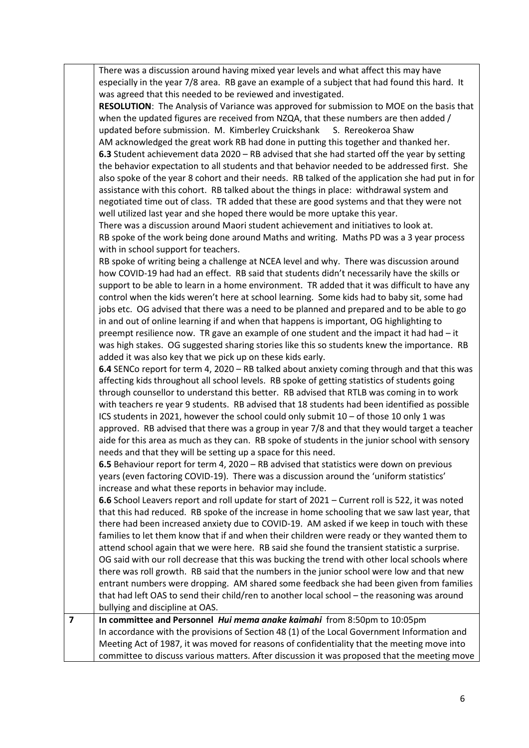|                | There was a discussion around having mixed year levels and what affect this may have<br>especially in the year 7/8 area. RB gave an example of a subject that had found this hard. It<br>was agreed that this needed to be reviewed and investigated.<br>RESOLUTION: The Analysis of Variance was approved for submission to MOE on the basis that<br>when the updated figures are received from NZQA, that these numbers are then added /                                                                                                                                                                                                                                                                                                                                                                                               |
|----------------|------------------------------------------------------------------------------------------------------------------------------------------------------------------------------------------------------------------------------------------------------------------------------------------------------------------------------------------------------------------------------------------------------------------------------------------------------------------------------------------------------------------------------------------------------------------------------------------------------------------------------------------------------------------------------------------------------------------------------------------------------------------------------------------------------------------------------------------|
|                | updated before submission. M. Kimberley Cruickshank<br>S. Rereokeroa Shaw                                                                                                                                                                                                                                                                                                                                                                                                                                                                                                                                                                                                                                                                                                                                                                |
|                | AM acknowledged the great work RB had done in putting this together and thanked her.                                                                                                                                                                                                                                                                                                                                                                                                                                                                                                                                                                                                                                                                                                                                                     |
|                | 6.3 Student achievement data 2020 - RB advised that she had started off the year by setting                                                                                                                                                                                                                                                                                                                                                                                                                                                                                                                                                                                                                                                                                                                                              |
|                | the behavior expectation to all students and that behavior needed to be addressed first. She<br>also spoke of the year 8 cohort and their needs. RB talked of the application she had put in for<br>assistance with this cohort. RB talked about the things in place: withdrawal system and<br>negotiated time out of class. TR added that these are good systems and that they were not<br>well utilized last year and she hoped there would be more uptake this year.                                                                                                                                                                                                                                                                                                                                                                  |
|                | There was a discussion around Maori student achievement and initiatives to look at.                                                                                                                                                                                                                                                                                                                                                                                                                                                                                                                                                                                                                                                                                                                                                      |
|                | RB spoke of the work being done around Maths and writing. Maths PD was a 3 year process                                                                                                                                                                                                                                                                                                                                                                                                                                                                                                                                                                                                                                                                                                                                                  |
|                | with in school support for teachers.                                                                                                                                                                                                                                                                                                                                                                                                                                                                                                                                                                                                                                                                                                                                                                                                     |
|                | RB spoke of writing being a challenge at NCEA level and why. There was discussion around<br>how COVID-19 had had an effect. RB said that students didn't necessarily have the skills or<br>support to be able to learn in a home environment. TR added that it was difficult to have any<br>control when the kids weren't here at school learning. Some kids had to baby sit, some had<br>jobs etc. OG advised that there was a need to be planned and prepared and to be able to go<br>in and out of online learning if and when that happens is important, OG highlighting to<br>preempt resilience now. TR gave an example of one student and the impact it had had - it<br>was high stakes. OG suggested sharing stories like this so students knew the importance. RB<br>added it was also key that we pick up on these kids early. |
|                | 6.4 SENCo report for term 4, 2020 - RB talked about anxiety coming through and that this was<br>affecting kids throughout all school levels. RB spoke of getting statistics of students going<br>through counsellor to understand this better. RB advised that RTLB was coming in to work<br>with teachers re year 9 students. RB advised that 18 students had been identified as possible<br>ICS students in 2021, however the school could only submit 10 - of those 10 only 1 was<br>approved. RB advised that there was a group in year 7/8 and that they would target a teacher<br>aide for this area as much as they can. RB spoke of students in the junior school with sensory<br>needs and that they will be setting up a space for this need.                                                                                  |
|                | 6.5 Behaviour report for term 4, 2020 - RB advised that statistics were down on previous<br>years (even factoring COVID-19). There was a discussion around the 'uniform statistics'<br>increase and what these reports in behavior may include.                                                                                                                                                                                                                                                                                                                                                                                                                                                                                                                                                                                          |
|                | 6.6 School Leavers report and roll update for start of 2021 - Current roll is 522, it was noted<br>that this had reduced. RB spoke of the increase in home schooling that we saw last year, that<br>there had been increased anxiety due to COVID-19. AM asked if we keep in touch with these                                                                                                                                                                                                                                                                                                                                                                                                                                                                                                                                            |
|                | families to let them know that if and when their children were ready or they wanted them to<br>attend school again that we were here. RB said she found the transient statistic a surprise.                                                                                                                                                                                                                                                                                                                                                                                                                                                                                                                                                                                                                                              |
|                | OG said with our roll decrease that this was bucking the trend with other local schools where                                                                                                                                                                                                                                                                                                                                                                                                                                                                                                                                                                                                                                                                                                                                            |
|                | there was roll growth. RB said that the numbers in the junior school were low and that new                                                                                                                                                                                                                                                                                                                                                                                                                                                                                                                                                                                                                                                                                                                                               |
|                | entrant numbers were dropping. AM shared some feedback she had been given from families                                                                                                                                                                                                                                                                                                                                                                                                                                                                                                                                                                                                                                                                                                                                                  |
|                | that had left OAS to send their child/ren to another local school - the reasoning was around                                                                                                                                                                                                                                                                                                                                                                                                                                                                                                                                                                                                                                                                                                                                             |
|                | bullying and discipline at OAS.                                                                                                                                                                                                                                                                                                                                                                                                                                                                                                                                                                                                                                                                                                                                                                                                          |
| $\overline{7}$ | In committee and Personnel Hui mema anake kaimahi from 8:50pm to 10:05pm                                                                                                                                                                                                                                                                                                                                                                                                                                                                                                                                                                                                                                                                                                                                                                 |
|                | In accordance with the provisions of Section 48 (1) of the Local Government Information and                                                                                                                                                                                                                                                                                                                                                                                                                                                                                                                                                                                                                                                                                                                                              |
|                | Meeting Act of 1987, it was moved for reasons of confidentiality that the meeting move into                                                                                                                                                                                                                                                                                                                                                                                                                                                                                                                                                                                                                                                                                                                                              |
|                | committee to discuss various matters. After discussion it was proposed that the meeting move                                                                                                                                                                                                                                                                                                                                                                                                                                                                                                                                                                                                                                                                                                                                             |